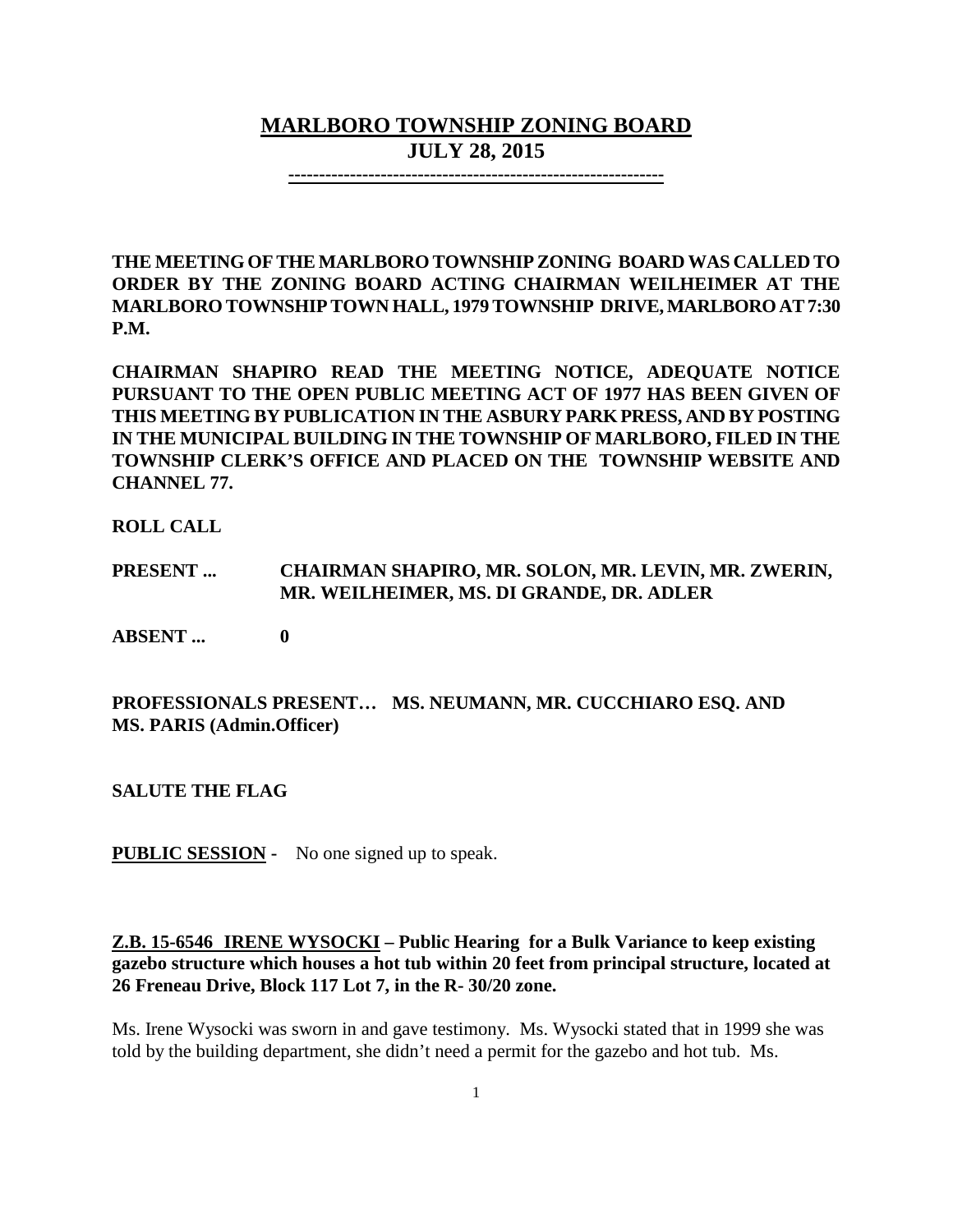# **MARLBORO TOWNSHIP ZONING BOARD JULY 28, 2015**

**-------------------------------------------------------------**

**THE MEETING OF THE MARLBORO TOWNSHIP ZONING BOARD WAS CALLED TO ORDER BY THE ZONING BOARD ACTING CHAIRMAN WEILHEIMER AT THE MARLBORO TOWNSHIPTOWN HALL, 1979 TOWNSHIP DRIVE, MARLBORO AT 7:30 P.M.**

**CHAIRMAN SHAPIRO READ THE MEETING NOTICE, ADEQUATE NOTICE PURSUANT TO THE OPEN PUBLIC MEETING ACT OF 1977 HAS BEEN GIVEN OF THIS MEETING BY PUBLICATION IN THE ASBURY PARK PRESS, AND BY POSTING IN THE MUNICIPAL BUILDING IN THE TOWNSHIP OF MARLBORO, FILED IN THE TOWNSHIP CLERK'S OFFICE AND PLACED ON THE TOWNSHIP WEBSITE AND CHANNEL 77.**

**ROLL CALL**

### **PRESENT ... CHAIRMAN SHAPIRO, MR. SOLON, MR. LEVIN, MR. ZWERIN, MR. WEILHEIMER, MS. DI GRANDE, DR. ADLER**

**ABSENT ... 0**

### **PROFESSIONALS PRESENT… MS. NEUMANN, MR. CUCCHIARO ESQ. AND MS. PARIS (Admin.Officer)**

**SALUTE THE FLAG**

**PUBLIC SESSION -** No one signed up to speak.

# **Z.B. 15-6546 IRENE WYSOCKI – Public Hearing for a Bulk Variance to keep existing gazebo structure which houses a hot tub within 20 feet from principal structure, located at 26 Freneau Drive, Block 117 Lot 7, in the R- 30/20 zone.**

Ms. Irene Wysocki was sworn in and gave testimony. Ms. Wysocki stated that in 1999 she was told by the building department, she didn't need a permit for the gazebo and hot tub. Ms.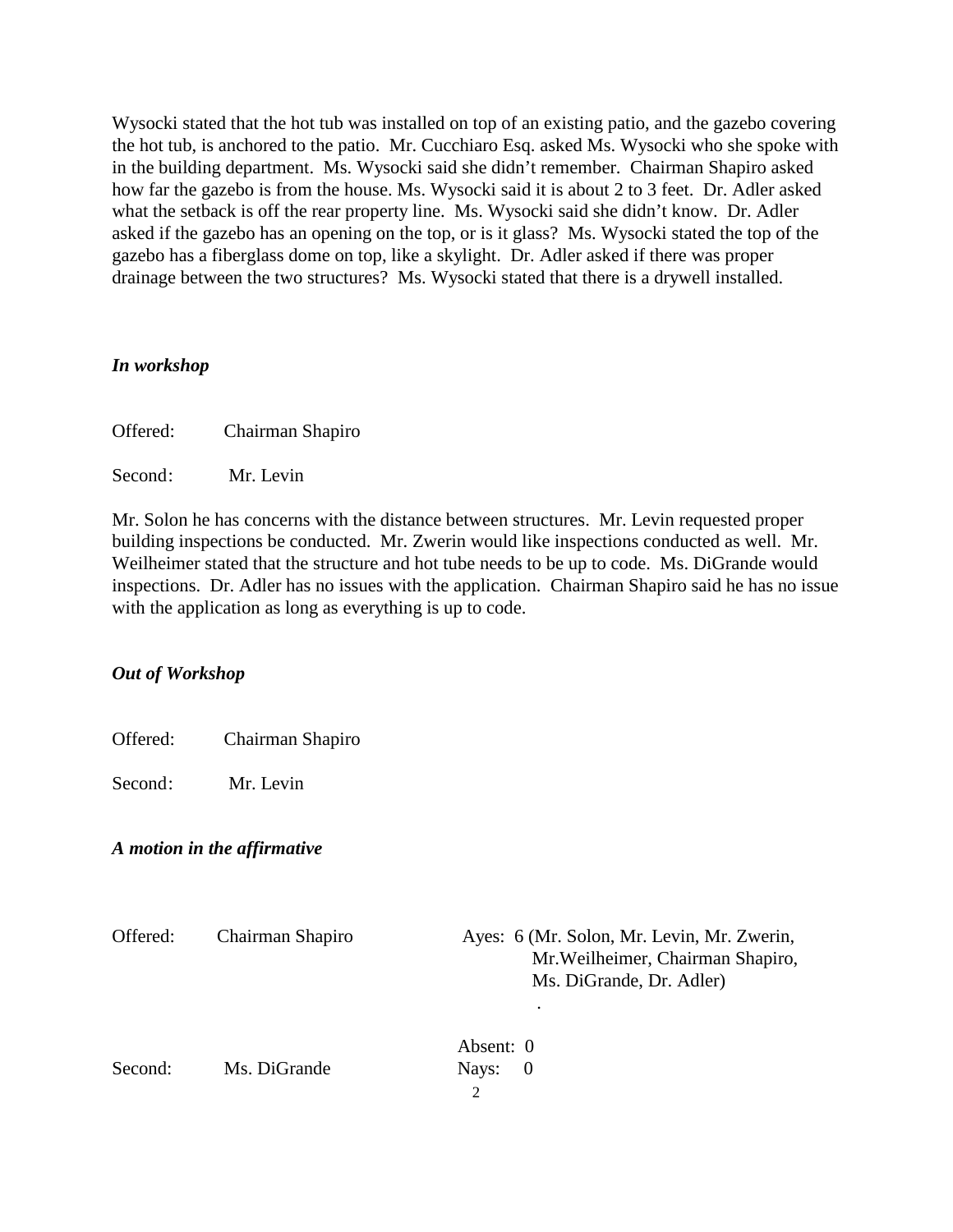Wysocki stated that the hot tub was installed on top of an existing patio, and the gazebo covering the hot tub, is anchored to the patio. Mr. Cucchiaro Esq. asked Ms. Wysocki who she spoke with in the building department. Ms. Wysocki said she didn't remember. Chairman Shapiro asked how far the gazebo is from the house. Ms. Wysocki said it is about 2 to 3 feet. Dr. Adler asked what the setback is off the rear property line. Ms. Wysocki said she didn't know. Dr. Adler asked if the gazebo has an opening on the top, or is it glass? Ms. Wysocki stated the top of the gazebo has a fiberglass dome on top, like a skylight. Dr. Adler asked if there was proper drainage between the two structures? Ms. Wysocki stated that there is a drywell installed.

### *In workshop*

Offered: Chairman Shapiro

Second: Mr. Levin

Mr. Solon he has concerns with the distance between structures. Mr. Levin requested proper building inspections be conducted. Mr. Zwerin would like inspections conducted as well. Mr. Weilheimer stated that the structure and hot tube needs to be up to code. Ms. DiGrande would inspections. Dr. Adler has no issues with the application. Chairman Shapiro said he has no issue with the application as long as everything is up to code.

# *Out of Workshop*

| Offered: | Chairman Shapiro |  |
|----------|------------------|--|
|----------|------------------|--|

Second: Mr. Levin

### *A motion in the affirmative*

| Offered: | Chairman Shapiro | Ayes: 6 (Mr. Solon, Mr. Levin, Mr. Zwerin,<br>Mr. Weilheimer, Chairman Shapiro,<br>Ms. DiGrande, Dr. Adler) |
|----------|------------------|-------------------------------------------------------------------------------------------------------------|
|          |                  | Absent: 0                                                                                                   |
| Second:  | Ms. DiGrande     | Nays:<br>- 0                                                                                                |
|          |                  | $\mathfrak{D}$                                                                                              |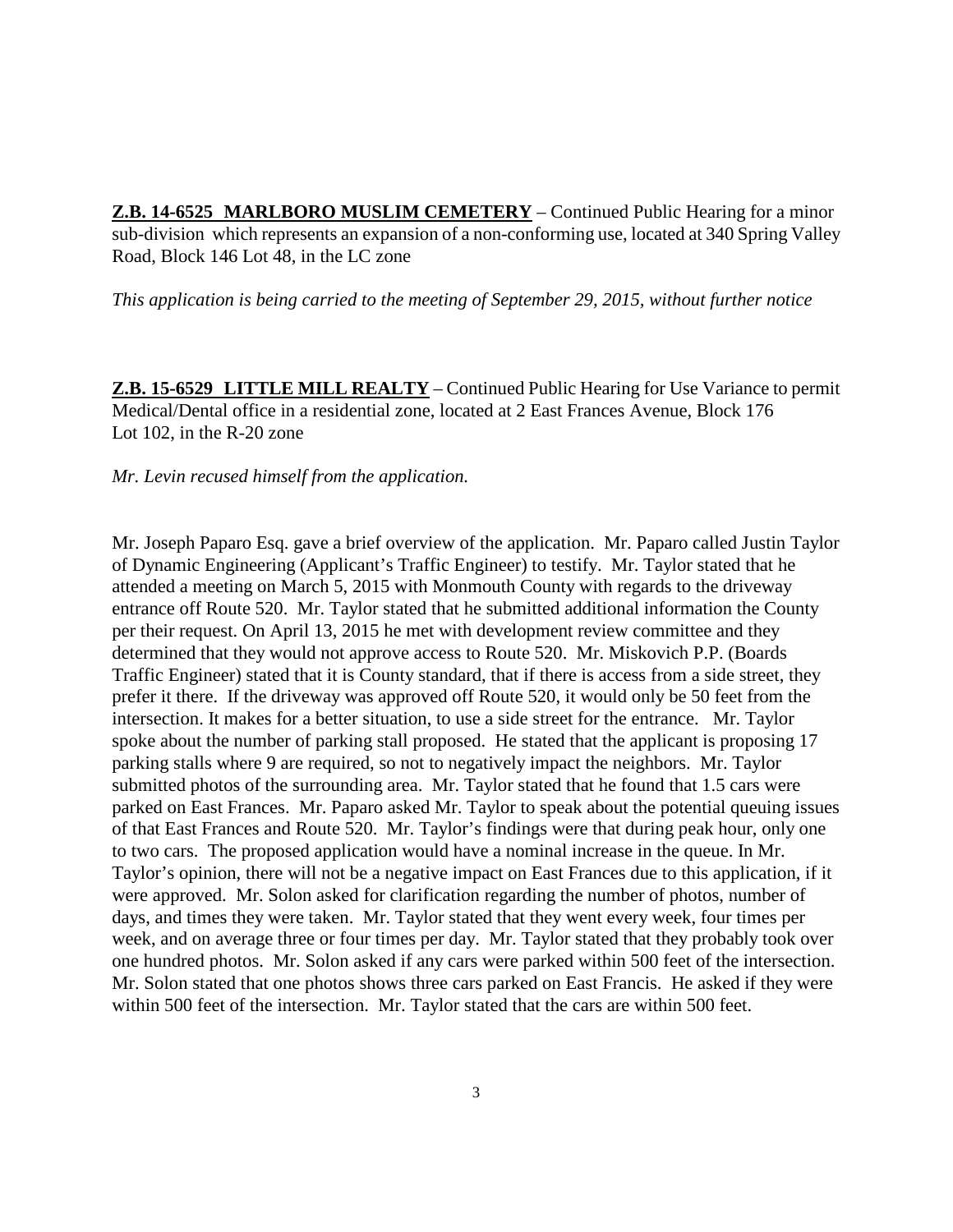**Z.B. 14-6525 MARLBORO MUSLIM CEMETERY** – Continued Public Hearing for a minor sub-division which represents an expansion of a non-conforming use, located at 340 Spring Valley Road, Block 146 Lot 48, in the LC zone

*This application is being carried to the meeting of September 29, 2015, without further notice*

**Z.B. 15-6529 LITTLE MILL REALTY** – Continued Public Hearing for Use Variance to permit Medical/Dental office in a residential zone, located at 2 East Frances Avenue, Block 176 Lot 102, in the R-20 zone

### *Mr. Levin recused himself from the application.*

Mr. Joseph Paparo Esq. gave a brief overview of the application. Mr. Paparo called Justin Taylor of Dynamic Engineering (Applicant's Traffic Engineer) to testify. Mr. Taylor stated that he attended a meeting on March 5, 2015 with Monmouth County with regards to the driveway entrance off Route 520. Mr. Taylor stated that he submitted additional information the County per their request. On April 13, 2015 he met with development review committee and they determined that they would not approve access to Route 520. Mr. Miskovich P.P. (Boards Traffic Engineer) stated that it is County standard, that if there is access from a side street, they prefer it there. If the driveway was approved off Route 520, it would only be 50 feet from the intersection. It makes for a better situation, to use a side street for the entrance. Mr. Taylor spoke about the number of parking stall proposed. He stated that the applicant is proposing 17 parking stalls where 9 are required, so not to negatively impact the neighbors. Mr. Taylor submitted photos of the surrounding area. Mr. Taylor stated that he found that 1.5 cars were parked on East Frances. Mr. Paparo asked Mr. Taylor to speak about the potential queuing issues of that East Frances and Route 520. Mr. Taylor's findings were that during peak hour, only one to two cars. The proposed application would have a nominal increase in the queue. In Mr. Taylor's opinion, there will not be a negative impact on East Frances due to this application, if it were approved. Mr. Solon asked for clarification regarding the number of photos, number of days, and times they were taken. Mr. Taylor stated that they went every week, four times per week, and on average three or four times per day. Mr. Taylor stated that they probably took over one hundred photos. Mr. Solon asked if any cars were parked within 500 feet of the intersection. Mr. Solon stated that one photos shows three cars parked on East Francis. He asked if they were within 500 feet of the intersection. Mr. Taylor stated that the cars are within 500 feet.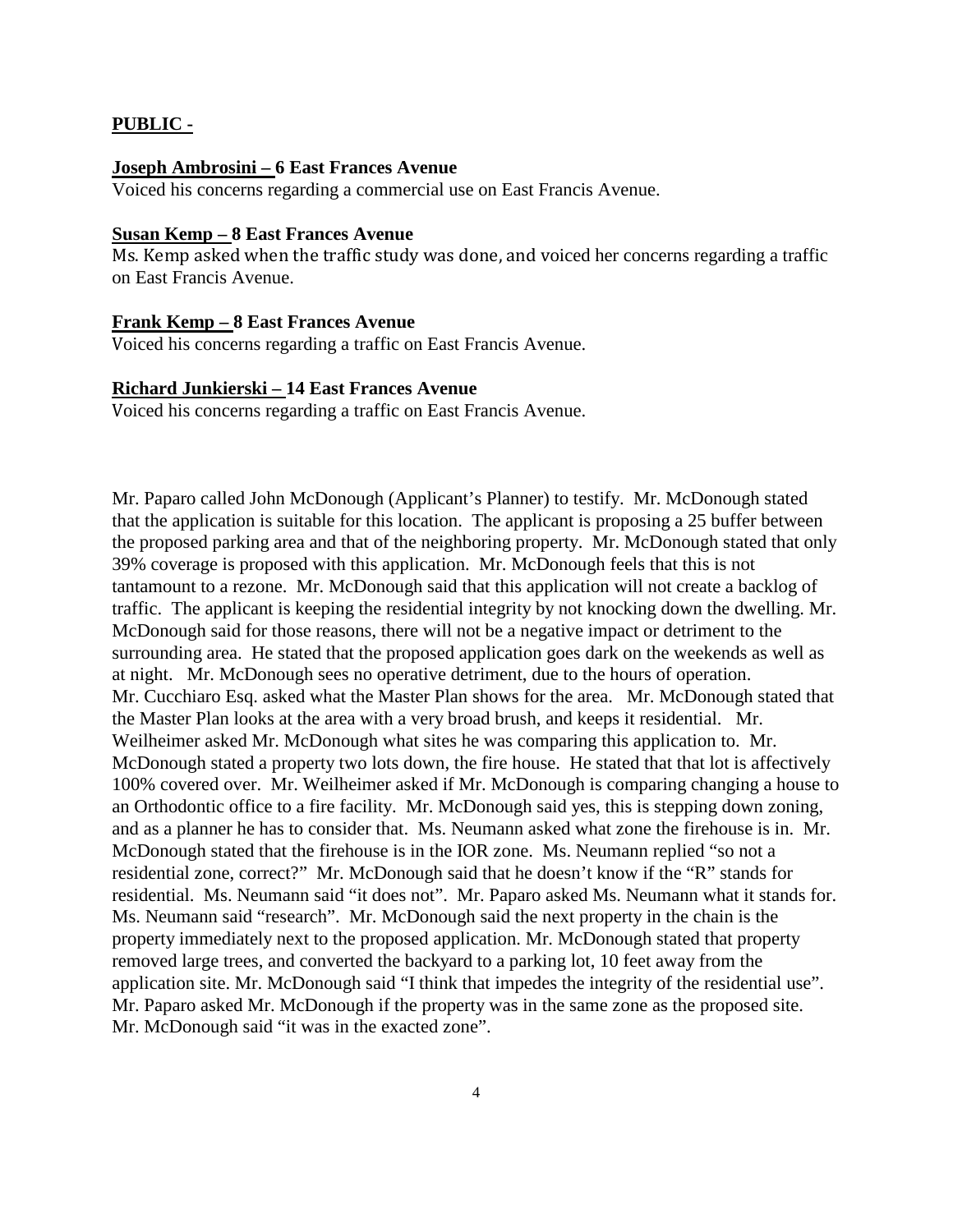### **PUBLIC -**

#### **Joseph Ambrosini – 6 East Frances Avenue**

Voiced his concerns regarding a commercial use on East Francis Avenue.

### **Susan Kemp – 8 East Frances Avenue**

Ms. Kemp asked when the traffic study was done, and voiced her concerns regarding a traffic on East Francis Avenue.

### **Frank Kemp – 8 East Frances Avenue**

Voiced his concerns regarding a traffic on East Francis Avenue.

### **Richard Junkierski – 14 East Frances Avenue**

Voiced his concerns regarding a traffic on East Francis Avenue.

Mr. Paparo called John McDonough (Applicant's Planner) to testify. Mr. McDonough stated that the application is suitable for this location. The applicant is proposing a 25 buffer between the proposed parking area and that of the neighboring property. Mr. McDonough stated that only 39% coverage is proposed with this application. Mr. McDonough feels that this is not tantamount to a rezone. Mr. McDonough said that this application will not create a backlog of traffic. The applicant is keeping the residential integrity by not knocking down the dwelling. Mr. McDonough said for those reasons, there will not be a negative impact or detriment to the surrounding area. He stated that the proposed application goes dark on the weekends as well as at night. Mr. McDonough sees no operative detriment, due to the hours of operation. Mr. Cucchiaro Esq. asked what the Master Plan shows for the area. Mr. McDonough stated that the Master Plan looks at the area with a very broad brush, and keeps it residential. Mr. Weilheimer asked Mr. McDonough what sites he was comparing this application to. Mr. McDonough stated a property two lots down, the fire house. He stated that that lot is affectively 100% covered over. Mr. Weilheimer asked if Mr. McDonough is comparing changing a house to an Orthodontic office to a fire facility. Mr. McDonough said yes, this is stepping down zoning, and as a planner he has to consider that. Ms. Neumann asked what zone the firehouse is in. Mr. McDonough stated that the firehouse is in the IOR zone. Ms. Neumann replied "so not a residential zone, correct?" Mr. McDonough said that he doesn't know if the "R" stands for residential. Ms. Neumann said "it does not". Mr. Paparo asked Ms. Neumann what it stands for. Ms. Neumann said "research". Mr. McDonough said the next property in the chain is the property immediately next to the proposed application. Mr. McDonough stated that property removed large trees, and converted the backyard to a parking lot, 10 feet away from the application site. Mr. McDonough said "I think that impedes the integrity of the residential use". Mr. Paparo asked Mr. McDonough if the property was in the same zone as the proposed site. Mr. McDonough said "it was in the exacted zone".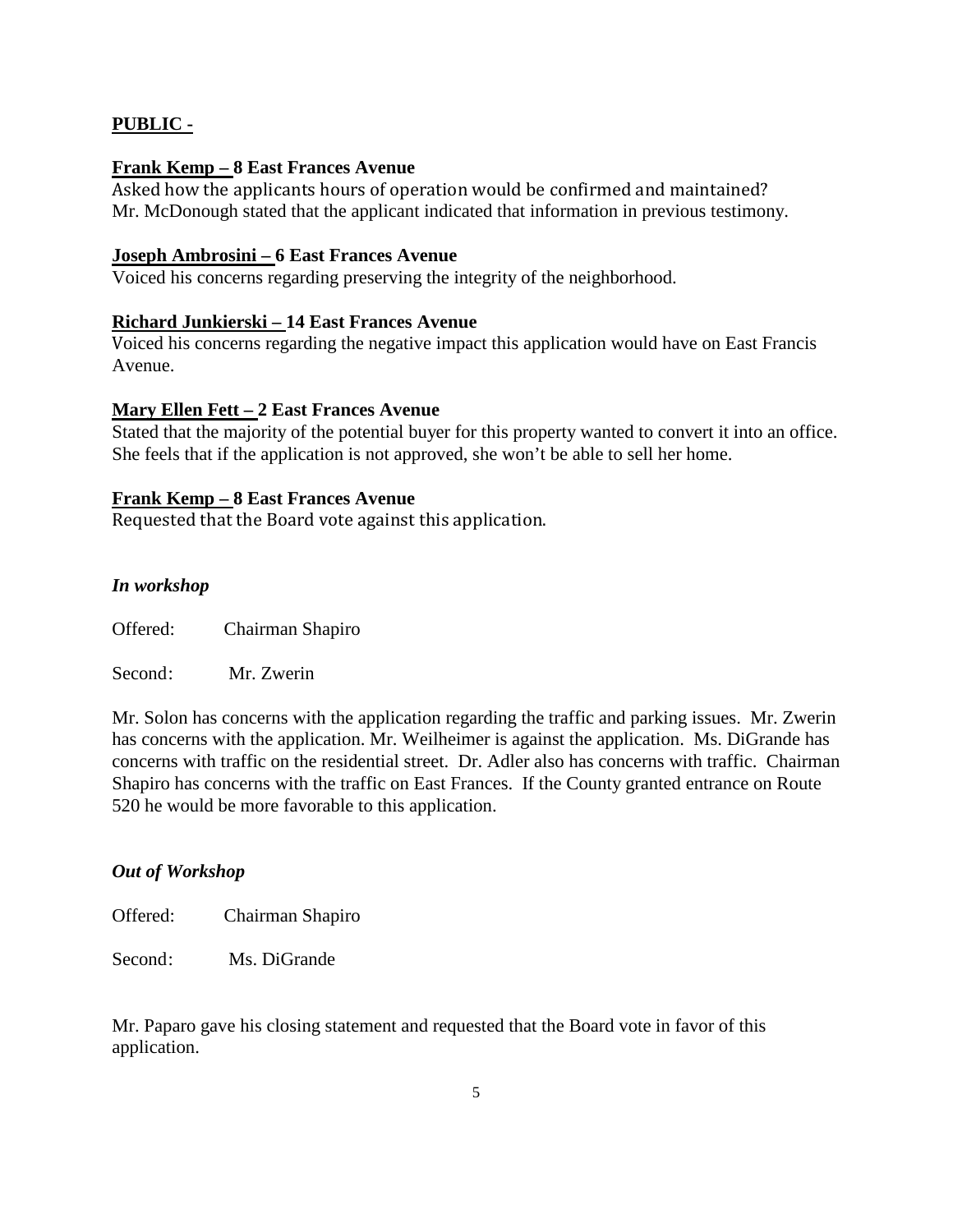### **PUBLIC -**

### **Frank Kemp – 8 East Frances Avenue**

Asked how the applicants hours of operation would be confirmed and maintained? Mr. McDonough stated that the applicant indicated that information in previous testimony.

### **Joseph Ambrosini – 6 East Frances Avenue**

Voiced his concerns regarding preserving the integrity of the neighborhood.

### **Richard Junkierski – 14 East Frances Avenue**

Voiced his concerns regarding the negative impact this application would have on East Francis Avenue.

### **Mary Ellen Fett – 2 East Frances Avenue**

Stated that the majority of the potential buyer for this property wanted to convert it into an office. She feels that if the application is not approved, she won't be able to sell her home.

### **Frank Kemp – 8 East Frances Avenue**

Requested that the Board vote against this application.

### *In workshop*

Offered: Chairman Shapiro

Second: Mr. Zwerin

Mr. Solon has concerns with the application regarding the traffic and parking issues. Mr. Zwerin has concerns with the application. Mr. Weilheimer is against the application. Ms. DiGrande has concerns with traffic on the residential street. Dr. Adler also has concerns with traffic. Chairman Shapiro has concerns with the traffic on East Frances. If the County granted entrance on Route 520 he would be more favorable to this application.

### *Out of Workshop*

Offered: Chairman Shapiro

Second: Ms. DiGrande

Mr. Paparo gave his closing statement and requested that the Board vote in favor of this application.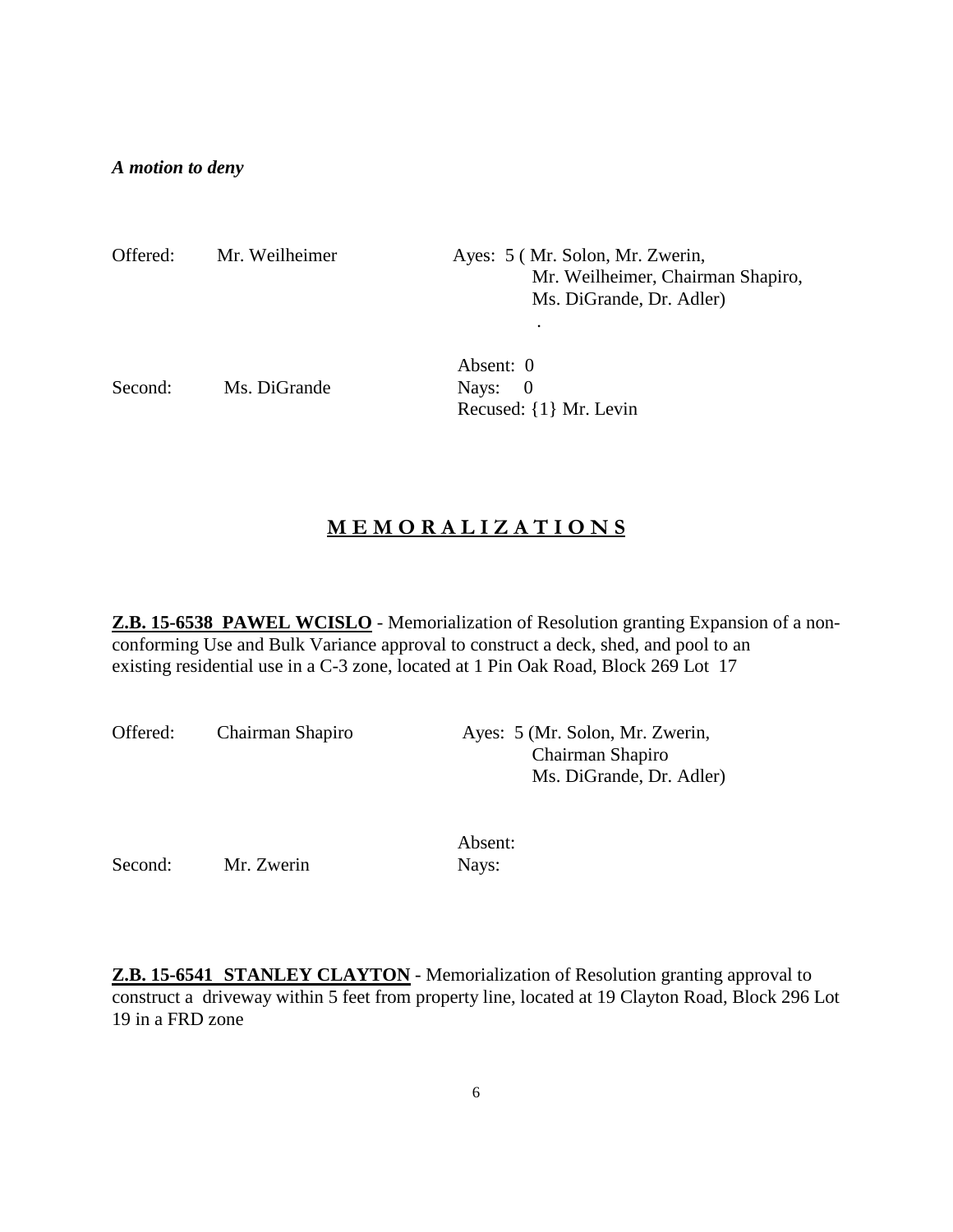### *A motion to deny*

| Offered: | Mr. Weilheimer | Ayes: 5 (Mr. Solon, Mr. Zwerin,<br>Mr. Weilheimer, Chairman Shapiro,<br>Ms. DiGrande, Dr. Adler) |  |
|----------|----------------|--------------------------------------------------------------------------------------------------|--|
|          |                |                                                                                                  |  |
|          |                | Absent: 0                                                                                        |  |
| Second:  | Ms. DiGrande   | Navs:                                                                                            |  |

Recused: {1} Mr. Levin

# **M E M O R A L I Z A T I O N S**

**Z.B. 15-6538 PAWEL WCISLO** - Memorialization of Resolution granting Expansion of a nonconforming Use and Bulk Variance approval to construct a deck, shed, and pool to an existing residential use in a C-3 zone, located at 1 Pin Oak Road, Block 269 Lot 17

| Offered: | Chairman Shapiro | Ayes: 5 (Mr. Solon, Mr. Zwerin, |
|----------|------------------|---------------------------------|
|          |                  | Chairman Shapiro                |
|          |                  | Ms. DiGrande, Dr. Adler)        |

Second: Mr. Zwerin Nays:

Absent:

**Z.B. 15-6541 STANLEY CLAYTON** - Memorialization of Resolution granting approval to construct a driveway within 5 feet from property line, located at 19 Clayton Road, Block 296 Lot 19 in a FRD zone